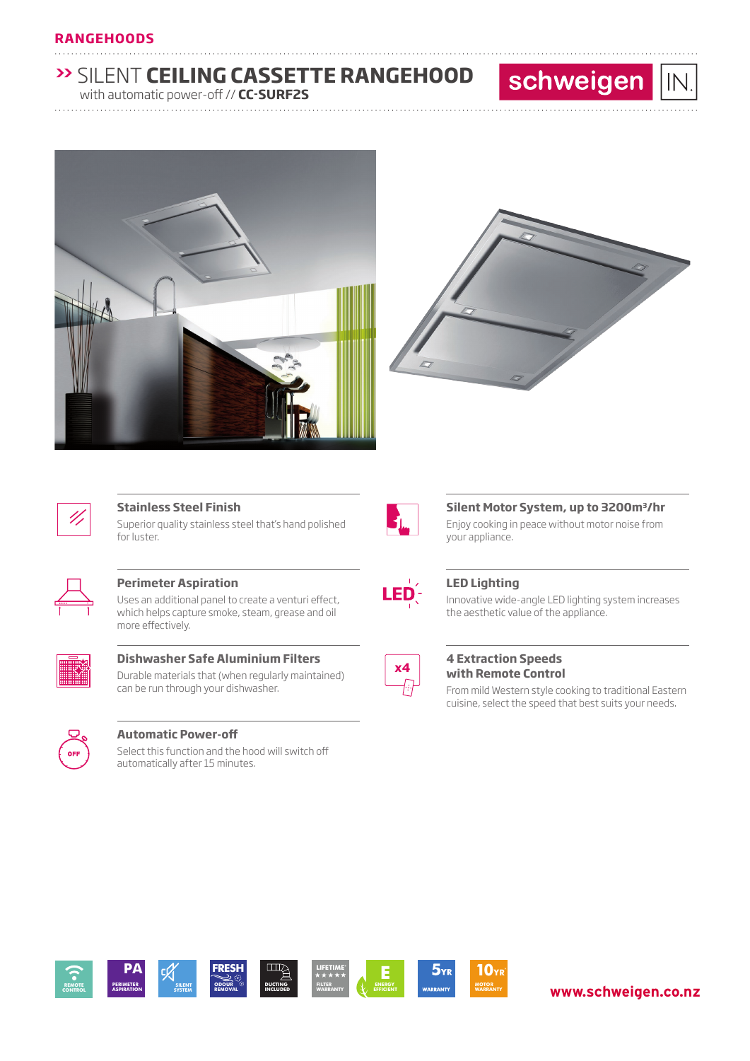### **RANGEHOODS**

# **>>** SILENT **CEILING CASSETTE RANGEHOOD**

............................................................................................................................... ............................

............................................................................................................................... ............................

with automatic power-off // **CC-SURF2S**





schweigen

 $IN$ 



### **Stainless Steel Finish**

Superior quality stainless steel that's hand polished for luster.



### **Perimeter Aspiration**

Uses an additional panel to create a venturi effect, which helps capture smoke, steam, grease and oil more effectively.



**Dishwasher Safe Aluminium Filters** Durable materials that (when regularly maintained) can be run through your dishwasher.



### **Automatic Power-off**

Select this function and the hood will switch off automatically after 15 minutes.



### **Silent Motor System, up to 3200m3/hr**

Enjoy cooking in peace without motor noise from your appliance.



### **LED Lighting**

Innovative wide-angle LED lighting system increases the aesthetic value of the appliance.



### **4 Extraction Speeds with Remote Control**

From mild Western style cooking to traditional Eastern cuisine, select the speed that best suits your needs.



## **www.schweigen.co.nz**